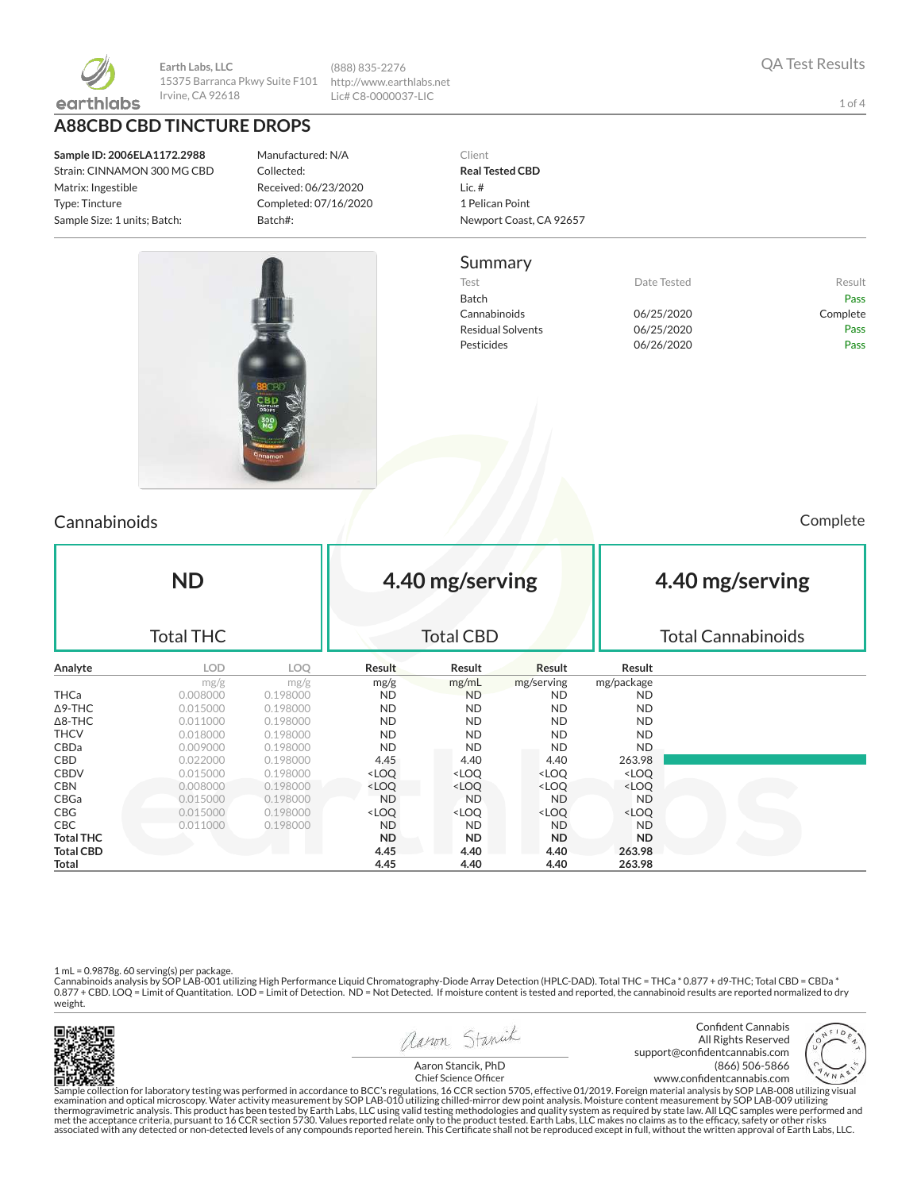

**Earth Labs, LLC** 15375 Barranca Pkwy Suite F101 Irvine, CA 92618

**A88CBD CBD TINCTURE DROPS**

**Sample ID: 2006ELA1172.2988** Strain: CINNAMON 300 MG CBD Matrix: Ingestible Type: Tincture Sample Size: 1 units; Batch:

Manufactured: N/A Collected: Received: 06/23/2020 Completed: 07/16/2020 Batch#:

(888) 835-2276 http://www.earthlabs.net Lic# C8-0000037-LIC

#### Client **Real Tested CBD** Lic. # 1 Pelican Point Newport Coast, CA 92657

### Summary

Test **Test Result** Date Tested **Result** Batch Pass Cannabinoids 06/25/2020 Complete Residual Solvents 06/25/2020 Pass Pesticides **D6/26/2020** Pass

Cannabinoids Complete

| <b>ND</b><br><b>Total THC</b> |            |          |                                                                                                                   | 4.40 mg/serving<br><b>Total CBD</b>                                                  |                                                          |                              | 4.40 mg/serving<br><b>Total Cannabinoids</b> |  |  |
|-------------------------------|------------|----------|-------------------------------------------------------------------------------------------------------------------|--------------------------------------------------------------------------------------|----------------------------------------------------------|------------------------------|----------------------------------------------|--|--|
| Analyte                       | <b>LOD</b> | LOO      | <b>Result</b>                                                                                                     | Result                                                                               | Result                                                   | Result                       |                                              |  |  |
|                               | mg/g       | mg/g     | mg/g                                                                                                              | mg/mL                                                                                | mg/serving                                               | mg/package                   |                                              |  |  |
| THCa                          | 0.008000   | 0.198000 | ND                                                                                                                | <b>ND</b>                                                                            | ND.                                                      | ND                           |                                              |  |  |
| ∆9-THC                        | 0.015000   | 0.198000 | ND.                                                                                                               | ND.                                                                                  | ND.                                                      | <b>ND</b>                    |                                              |  |  |
| $\Delta$ 8-THC                | 0.011000   | 0.198000 | ND.                                                                                                               | ND.                                                                                  | ND.                                                      | <b>ND</b>                    |                                              |  |  |
| THCV                          | 0.018000   | 0.198000 | ND.                                                                                                               | ND.                                                                                  | ND.                                                      | <b>ND</b>                    |                                              |  |  |
| CBDa                          | 0.009000   | 0.198000 | ND.                                                                                                               | ND.                                                                                  | <b>ND</b>                                                | <b>ND</b>                    |                                              |  |  |
| CBD                           | 0.022000   | 0.198000 | 4.45                                                                                                              | 4.40                                                                                 | 4.40                                                     | 263.98                       |                                              |  |  |
| CBDV                          | 0.015000   | 0.198000 | <loq< th=""><th><loq< th=""><th><loq< th=""><th><loq< th=""><th></th></loq<></th></loq<></th></loq<></th></loq<>  | <loq< th=""><th><loq< th=""><th><loq< th=""><th></th></loq<></th></loq<></th></loq<> | <loq< th=""><th><loq< th=""><th></th></loq<></th></loq<> | <loq< th=""><th></th></loq<> |                                              |  |  |
| CBN                           | 0.008000   | 0.198000 | <loq< th=""><th><loq< th=""><th><loq< th=""><th><loq< th=""><th></th></loq<></th></loq<></th></loq<></th></loq<>  | <loq< th=""><th><loq< th=""><th><loq< th=""><th></th></loq<></th></loq<></th></loq<> | <loq< th=""><th><loq< th=""><th></th></loq<></th></loq<> | <loq< th=""><th></th></loq<> |                                              |  |  |
| CBGa                          | 0.015000   | 0.198000 | <b>ND</b>                                                                                                         | <b>ND</b>                                                                            | <b>ND</b>                                                | <b>ND</b>                    |                                              |  |  |
| CBG                           | 0.015000   | 0.198000 | <loq< th=""><th><math>&lt;</math>LOQ</th><th><loq< th=""><th><loq< th=""><th></th></loq<></th></loq<></th></loq<> | $<$ LOQ                                                                              | <loq< th=""><th><loq< th=""><th></th></loq<></th></loq<> | <loq< th=""><th></th></loq<> |                                              |  |  |
| CBC.                          | 0.011000   | 0.198000 | ND.                                                                                                               | ND.                                                                                  | ND.                                                      | <b>ND</b>                    |                                              |  |  |
| Total THC                     |            |          | ND                                                                                                                | ND                                                                                   | ND                                                       | ND.                          |                                              |  |  |
| <b>Total CBD</b>              |            |          | 4.45                                                                                                              | 4.40                                                                                 | 4.40                                                     | 263.98                       |                                              |  |  |
| Total                         |            |          | 4.45                                                                                                              | 4.40                                                                                 | 4.40                                                     | 263.98                       |                                              |  |  |

1 mL = 0.9878g. 60 serving(s) per package.<br>Cannabinoids analysis by SOP LAB-001 utilizing High Performance Liquid Chromatography-Diode Array Detection (HPLC-DAD). Total THC = THCa \* 0.877 + d9-THC; Total CBD = CBDa \*<br>0.87 weight.



aaron Stanick





Aaron Stancik, PhD Chief Science Officer

Sample collection for laboratory testing was performed in accordance to BCC's regulations, 16 CCR section 5705, effective 01/2019. Foreign material analysis by SOP LAB-008 utilizing visual<br>examination and optical microscop associated with any detected or non-detected levels of any compounds reported herein. This Certificate shall not be reproduced except in full, without the written approval of Earth Labs, LLC.

1 of 4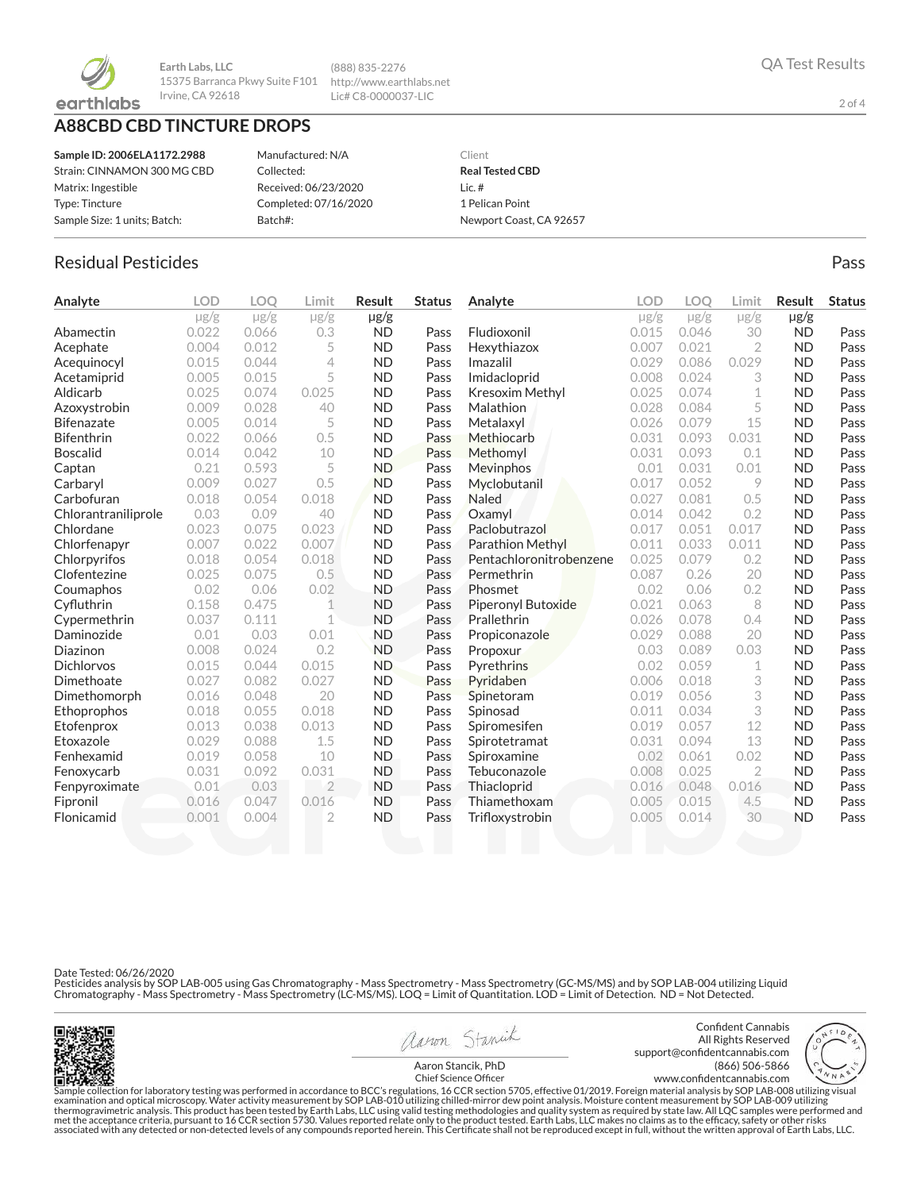

**Earth Labs, LLC** 15375 Barranca Pkwy Suite F101 http://www.earthlabs.net Irvine, CA 92618

(888) 835-2276

Lic# C8-0000037-LIC

# **A88CBD CBD TINCTURE DROPS**

| Sample ID: 2006ELA1172.2988  | Manufactured: N/A     |
|------------------------------|-----------------------|
| Strain: CINNAMON 300 MG CBD  | Collected:            |
| Matrix: Ingestible           | Received: 06/23/2020  |
| Type: Tincture               | Completed: 07/16/2020 |
| Sample Size: 1 units: Batch: | Batch#:               |
|                              |                       |

### Client **Real Tested CBD** Lic. # 1 Pelican Point Newport Coast, CA 92657

# Residual Pesticides **Passachuset International Control** Control of the Pass Pass

| Analyte             | <b>LOD</b> | LOO       | Limit          | <b>Result</b> | <b>Status</b> | Analyte                   | <b>LOD</b> | LOO       | Limit          | <b>Result</b> | <b>Status</b> |
|---------------------|------------|-----------|----------------|---------------|---------------|---------------------------|------------|-----------|----------------|---------------|---------------|
|                     | $\mu$ g/g  | $\mu$ g/g | $\mu$ g/g      | $\mu$ g/g     |               |                           | $\mu$ g/g  | $\mu$ g/g | $\mu$ g/g      | $\mu$ g/g     |               |
| Abamectin           | 0.022      | 0.066     | 0.3            | <b>ND</b>     | Pass          | Fludioxonil               | 0.015      | 0.046     | 30             | <b>ND</b>     | Pass          |
| Acephate            | 0.004      | 0.012     | 5              | <b>ND</b>     | Pass          | Hexythiazox               | 0.007      | 0.021     | $\overline{2}$ | <b>ND</b>     | Pass          |
| Acequinocyl         | 0.015      | 0.044     | 4              | <b>ND</b>     | Pass          | Imazalil                  | 0.029      | 0.086     | 0.029          | <b>ND</b>     | Pass          |
| Acetamiprid         | 0.005      | 0.015     | 5              | <b>ND</b>     | Pass          | Imidacloprid              | 0.008      | 0.024     | 3              | <b>ND</b>     | Pass          |
| Aldicarb            | 0.025      | 0.074     | 0.025          | <b>ND</b>     | Pass          | Kresoxim Methyl           | 0.025      | 0.074     | 1              | <b>ND</b>     | Pass          |
| Azoxystrobin        | 0.009      | 0.028     | 40             | <b>ND</b>     | Pass          | Malathion                 | 0.028      | 0.084     | 5              | <b>ND</b>     | Pass          |
| <b>Bifenazate</b>   | 0.005      | 0.014     | 5              | <b>ND</b>     | Pass          | Metalaxyl                 | 0.026      | 0.079     | 15             | <b>ND</b>     | Pass          |
| <b>Bifenthrin</b>   | 0.022      | 0.066     | 0.5            | <b>ND</b>     | Pass          | Methiocarb                | 0.031      | 0.093     | 0.031          | <b>ND</b>     | Pass          |
| <b>Boscalid</b>     | 0.014      | 0.042     | 10             | <b>ND</b>     | Pass          | Methomyl                  | 0.031      | 0.093     | 0.1            | <b>ND</b>     | Pass          |
| Captan              | 0.21       | 0.593     | 5              | <b>ND</b>     | Pass          | Mevinphos                 | 0.01       | 0.031     | 0.01           | <b>ND</b>     | Pass          |
| Carbaryl            | 0.009      | 0.027     | 0.5            | <b>ND</b>     | Pass          | Myclobutanil              | 0.017      | 0.052     | 9              | <b>ND</b>     | Pass          |
| Carbofuran          | 0.018      | 0.054     | 0.018          | <b>ND</b>     | Pass          | <b>Naled</b>              | 0.027      | 0.081     | 0.5            | <b>ND</b>     | Pass          |
| Chlorantraniliprole | 0.03       | 0.09      | 40             | <b>ND</b>     | Pass          | Oxamyl                    | 0.014      | 0.042     | 0.2            | <b>ND</b>     | Pass          |
| Chlordane           | 0.023      | 0.075     | 0.023          | <b>ND</b>     | Pass          | Paclobutrazol             | 0.017      | 0.051     | 0.017          | <b>ND</b>     | Pass          |
| Chlorfenapyr        | 0.007      | 0.022     | 0.007          | <b>ND</b>     | Pass          | <b>Parathion Methyl</b>   | 0.011      | 0.033     | 0.011          | <b>ND</b>     | Pass          |
| Chlorpyrifos        | 0.018      | 0.054     | 0.018          | <b>ND</b>     | Pass          | Pentachloronitrobenzene   | 0.025      | 0.079     | 0.2            | <b>ND</b>     | Pass          |
| Clofentezine        | 0.025      | 0.075     | 0.5            | <b>ND</b>     | Pass          | Permethrin                | 0.087      | 0.26      | 20             | <b>ND</b>     | Pass          |
| Coumaphos           | 0.02       | 0.06      | 0.02           | <b>ND</b>     | Pass          | Phosmet                   | 0.02       | 0.06      | 0.2            | <b>ND</b>     | Pass          |
| Cyfluthrin          | 0.158      | 0.475     | 1              | <b>ND</b>     | Pass          | <b>Piperonyl Butoxide</b> | 0.021      | 0.063     | 8              | <b>ND</b>     | Pass          |
| Cypermethrin        | 0.037      | 0.111     | $\mathbf 1$    | <b>ND</b>     | Pass          | Prallethrin               | 0.026      | 0.078     | 0.4            | <b>ND</b>     | Pass          |
| Daminozide          | 0.01       | 0.03      | 0.01           | <b>ND</b>     | Pass          | Propiconazole             | 0.029      | 0.088     | 20             | <b>ND</b>     | Pass          |
| Diazinon            | 0.008      | 0.024     | 0.2            | <b>ND</b>     | Pass          | Propoxur                  | 0.03       | 0.089     | 0.03           | <b>ND</b>     | Pass          |
| <b>Dichlorvos</b>   | 0.015      | 0.044     | 0.015          | <b>ND</b>     | Pass          | Pyrethrins                | 0.02       | 0.059     | 1              | <b>ND</b>     | Pass          |
| Dimethoate          | 0.027      | 0.082     | 0.027          | <b>ND</b>     | Pass          | Pyridaben                 | 0.006      | 0.018     | 3              | <b>ND</b>     | Pass          |
| Dimethomorph        | 0.016      | 0.048     | 20             | <b>ND</b>     | Pass          | Spinetoram                | 0.019      | 0.056     | 3              | <b>ND</b>     | Pass          |
| Ethoprophos         | 0.018      | 0.055     | 0.018          | <b>ND</b>     | Pass          | Spinosad                  | 0.011      | 0.034     | 3              | <b>ND</b>     | Pass          |
| Etofenprox          | 0.013      | 0.038     | 0.013          | <b>ND</b>     | Pass          | Spiromesifen              | 0.019      | 0.057     | 12             | <b>ND</b>     | Pass          |
| Etoxazole           | 0.029      | 0.088     | 1.5            | <b>ND</b>     | Pass          | Spirotetramat             | 0.031      | 0.094     | 13             | <b>ND</b>     | Pass          |
| Fenhexamid          | 0.019      | 0.058     | 10             | <b>ND</b>     | Pass          | Spiroxamine               | 0.02       | 0.061     | 0.02           | <b>ND</b>     | Pass          |
| Fenoxycarb          | 0.031      | 0.092     | 0.031          | <b>ND</b>     | Pass          | Tebuconazole              | 0.008      | 0.025     | $\overline{2}$ | <b>ND</b>     | Pass          |
| Fenpyroximate       | 0.01       | 0.03      | $\overline{2}$ | <b>ND</b>     | Pass          | Thiacloprid               | 0.016      | 0.048     | 0.016          | <b>ND</b>     | Pass          |
| Fipronil            | 0.016      | 0.047     | 0.016          | <b>ND</b>     | Pass          | Thiamethoxam              | 0.005      | 0.015     | 4.5            | <b>ND</b>     | Pass          |
| Flonicamid          | 0.001      | 0.004     | $\overline{2}$ | <b>ND</b>     | Pass          | Trifloxystrobin           | 0.005      | 0.014     | 30             | <b>ND</b>     | Pass          |
|                     |            |           |                |               |               |                           |            |           |                |               |               |

Date Tested: 06/26/2020

Pesticides analysis by SOP LAB-005 using Gas Chromatography - Mass Spectrometry - Mass Spectrometry (GC-MS/MS) and by SOP LAB-004 utilizing Liquid<br>Chromatography - Mass Spectrometry - Mass Spectrometry (LC-MS/MS). LOQ = Li



aaron Stanick

Confident Cannabis All Rights Reserved support@confidentcannabis.com (866) 506-5866 www.confidentcannabis.com



Aaron Stancik, PhD Chief Science Officer

Sample collection for laboratory testing was performed in accordance to BCC's regulations, 16 CCR section 5705, effective 01/2019. Foreign material analysis by SOP LAB-008 utilizing visual examination and optical microscop

2 of 4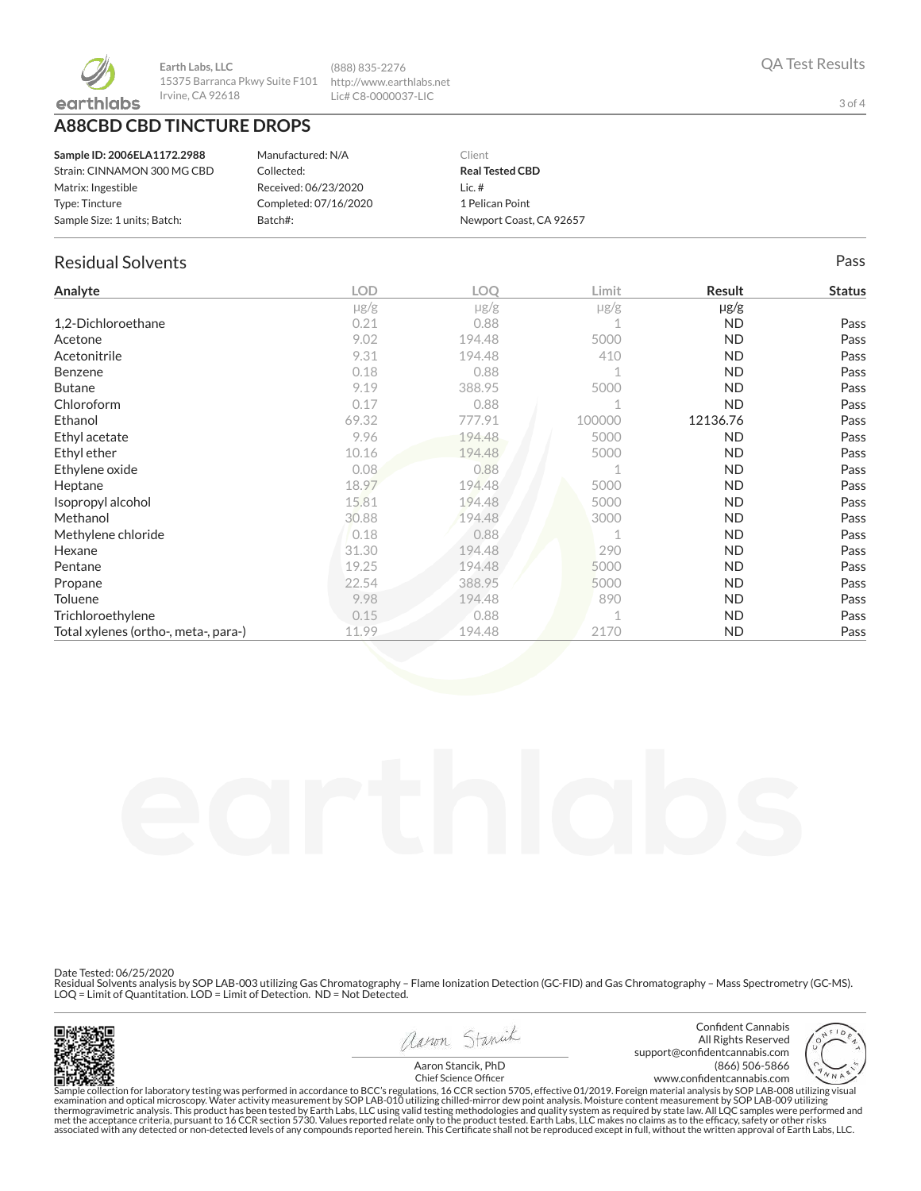

**Earth Labs, LLC** 15375 Barranca Pkwy Suite F101 Irvine, CA 92618

**A88CBD CBD TINCTURE DROPS**

| Sample ID: 2006ELA1172.2988  | Manufactured: N/A     | Client                  |
|------------------------------|-----------------------|-------------------------|
| Strain: CINNAMON 300 MG CBD  | Collected:            | <b>Real Tested CBD</b>  |
| Matrix: Ingestible           | Received: 06/23/2020  | Lic. $#$                |
| Type: Tincture               | Completed: 07/16/2020 | 1 Pelican Point         |
| Sample Size: 1 units; Batch: | Batch#:               | Newport Coast, CA 92657 |

(888) 835-2276 http://www.earthlabs.net Lic# C8-0000037-LIC

## Residual Solvents Pass

| Analyte                              | <b>LOD</b> | LOQ       | Limit  | Result    | <b>Status</b> |
|--------------------------------------|------------|-----------|--------|-----------|---------------|
|                                      | $\mu$ g/g  | $\mu$ g/g | µg/g   | $\mu$ g/g |               |
| 1,2-Dichloroethane                   | 0.21       | 0.88      |        | <b>ND</b> | Pass          |
| Acetone                              | 9.02       | 194.48    | 5000   | <b>ND</b> | Pass          |
| Acetonitrile                         | 9.31       | 194.48    | 410    | <b>ND</b> | Pass          |
| Benzene                              | 0.18       | 0.88      |        | <b>ND</b> | Pass          |
| <b>Butane</b>                        | 9.19       | 388.95    | 5000   | <b>ND</b> | Pass          |
| Chloroform                           | 0.17       | 0.88      |        | <b>ND</b> | Pass          |
| Ethanol                              | 69.32      | 777.91    | 100000 | 12136.76  | Pass          |
| Ethyl acetate                        | 9.96       | 194.48    | 5000   | <b>ND</b> | Pass          |
| Ethyl ether                          | 10.16      | 194.48    | 5000   | <b>ND</b> | Pass          |
| Ethylene oxide                       | 0.08       | 0.88      |        | <b>ND</b> | Pass          |
| Heptane                              | 18.97      | 194.48    | 5000   | <b>ND</b> | Pass          |
| Isopropyl alcohol                    | 15.81      | 194.48    | 5000   | <b>ND</b> | Pass          |
| Methanol                             | 30.88      | 194.48    | 3000   | <b>ND</b> | Pass          |
| Methylene chloride                   | 0.18       | 0.88      |        | <b>ND</b> | Pass          |
| Hexane                               | 31.30      | 194.48    | 290    | <b>ND</b> | Pass          |
| Pentane                              | 19.25      | 194.48    | 5000   | <b>ND</b> | Pass          |
| Propane                              | 22.54      | 388.95    | 5000   | <b>ND</b> | Pass          |
| <b>Toluene</b>                       | 9.98       | 194.48    | 890    | <b>ND</b> | Pass          |
| Trichloroethylene                    | 0.15       | 0.88      |        | <b>ND</b> | Pass          |
| Total xylenes (ortho-, meta-, para-) | 11.99      | 194.48    | 2170   | <b>ND</b> | Pass          |

Date Tested: 06/25/2020

Residual Solvents analysis by SOP LAB-003 utilizing Gas Chromatography – Flame Ionization Detection (GC-FID) and Gas Chromatography – Mass Spectrometry (GC-MS).<br>LOQ = Limit of Quantitation. LOD = Limit of Detection. ND = N



aaron Stanick Aaron Stancik, PhD

Confident Cannabis All Rights Reserved support@confidentcannabis.com (866) 506-5866 www.confidentcannabis.com



Chief Science Officer

Sample collection for laboratory testing was performed in accordance to BCC's regulations, 16 CCR section 5705, effective 01/2019. Foreign material analysis by SOP LAB-008 utilizing visual<br>examination and optical microscop associated with any detected or non-detected levels of any compounds reported herein. This Certificate shall not be reproduced except in full, without the written approval of Earth Labs, LLC.

3 of 4